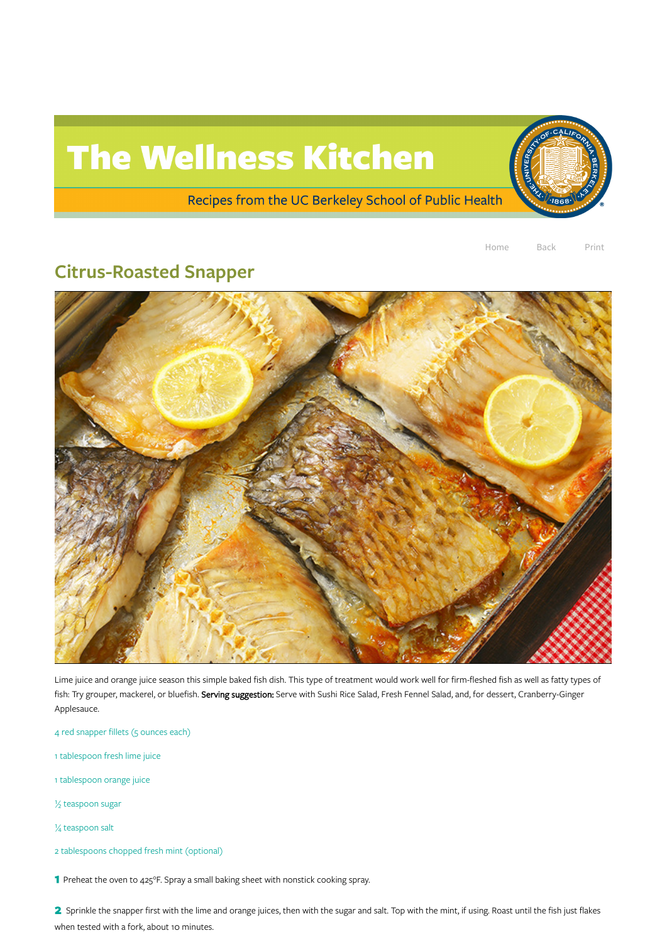## The Wellness Kitchen

Recipes from the UC Berkeley School of Public Health



## Citrus-Roasted Snapper



Lime juice and orange juice season this simple baked fish dish. This type of treatment would work well for firm-fleshed fish as well as fatty types of fish: Try grouper, mackerel, or bluefish. Serving suggestion: Serve with Sushi Rice Salad, Fresh Fennel Salad, and, for dessert, Cranberry-Ginger Applesauce.

4 red snapper fillets (5 ounces each)

1 tablespoon fresh lime juice

1 tablespoon orange juice

½ teaspoon sugar

¼ teaspoon salt

2 tablespoons chopped fresh mint (optional)

1 Preheat the oven to 425°F. Spray a small baking sheet with nonstick cooking spray.

2 Sprinkle the snapper first with the lime and orange juices, then with the sugar and salt. Top with the mint, if using. Roast until the fish just flakes when tested with a fork, about 10 minutes.